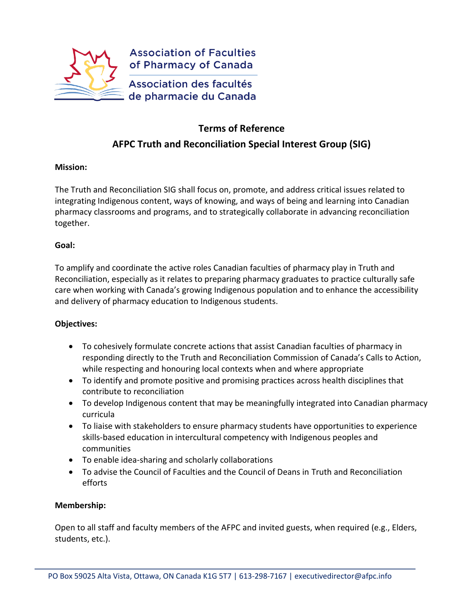

# **Terms of Reference AFPC Truth and Reconciliation Special Interest Group (SIG)**

## **Mission:**

The Truth and Reconciliation SIG shall focus on, promote, and address critical issues related to integrating Indigenous content, ways of knowing, and ways of being and learning into Canadian pharmacy classrooms and programs, and to strategically collaborate in advancing reconciliation together.

## **Goal:**

To amplify and coordinate the active roles Canadian faculties of pharmacy play in Truth and Reconciliation, especially as it relates to preparing pharmacy graduates to practice culturally safe care when working with Canada's growing Indigenous population and to enhance the accessibility and delivery of pharmacy education to Indigenous students.

# **Objectives:**

- To cohesively formulate concrete actions that assist Canadian faculties of pharmacy in responding directly to the Truth and Reconciliation Commission of Canada's Calls to Action, while respecting and honouring local contexts when and where appropriate
- To identify and promote positive and promising practices across health disciplines that contribute to reconciliation
- To develop Indigenous content that may be meaningfully integrated into Canadian pharmacy curricula
- To liaise with stakeholders to ensure pharmacy students have opportunities to experience skills-based education in intercultural competency with Indigenous peoples and communities
- To enable idea-sharing and scholarly collaborations
- To advise the Council of Faculties and the Council of Deans in Truth and Reconciliation efforts

# **Membership:**

Open to all staff and faculty members of the AFPC and invited guests, when required (e.g., Elders, students, etc.).